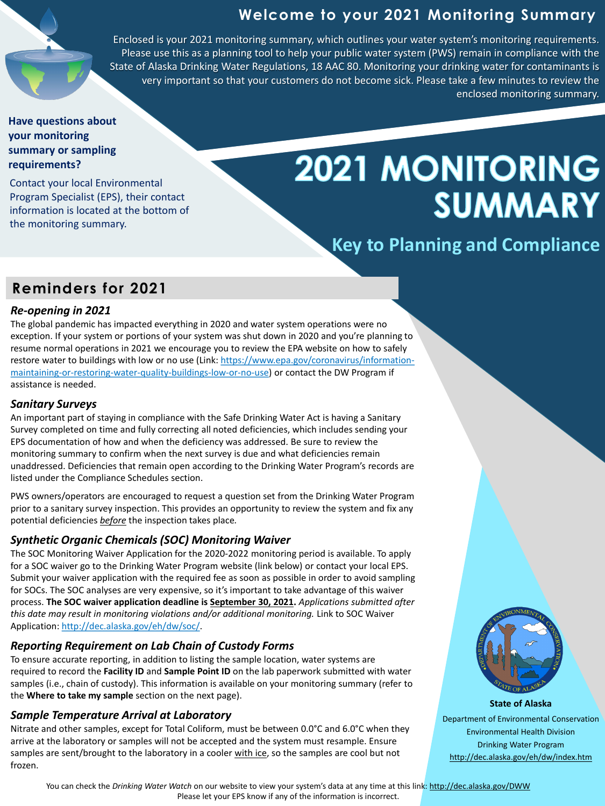#### **State of Alaska**

Department of Environmental Conservation Environmental Health Division Drinking Water Program http://dec.alaska.gov/eh/dw/index.htm

## **Welcome to your 2021 Monitoring Summary**

### *Re-opening in 2021*

The global pandemic has impacted everything in 2020 and water system operations were no exception. If your system or portions of your system was shut down in 2020 and you're planning to resume normal operations in 2021 we encourage you to review the EPA website on how to safely [restore water to buildings with low or no use \(Link: https://www.epa.gov/coronavirus/information](https://www.epa.gov/coronavirus/information-maintaining-or-restoring-water-quality-buildings-low-or-no-use)maintaining-or-restoring-water-quality-buildings-low-or-no-use) or contact the DW Program if assistance is needed.

### *Sanitary Surveys*

An important part of staying in compliance with the Safe Drinking Water Act is having a Sanitary Survey completed on time and fully correcting all noted deficiencies, which includes sending your EPS documentation of how and when the deficiency was addressed. Be sure to review the monitoring summary to confirm when the next survey is due and what deficiencies remain unaddressed. Deficiencies that remain open according to the Drinking Water Program's records are listed under the Compliance Schedules section.

PWS owners/operators are encouraged to request a question set from the Drinking Water Program prior to a sanitary survey inspection. This provides an opportunity to review the system and fix any potential deficiencies *before* the inspection takes place*.* 

## *Synthetic Organic Chemicals (SOC) Monitoring Waiver*

The SOC Monitoring Waiver Application for the 2020-2022 monitoring period is available. To apply for a SOC waiver go to the Drinking Water Program website (link below) or contact your local EPS. Submit your waiver application with the required fee as soon as possible in order to avoid sampling for SOCs. The SOC analyses are very expensive, so it's important to take advantage of this waiver process. **The SOC waiver application deadline is September 30, 2021.** *Applications submitted after this date may result in monitoring violations and/or additional monitoring.* Link to SOC Waiver Application:<http://dec.alaska.gov/eh/dw/soc/>.

#### *Reporting Requirement on Lab Chain of Custody Forms*

To ensure accurate reporting, in addition to listing the sample location, water systems are required to record the **Facility ID** and **Sample Point ID** on the lab paperwork submitted with water samples (i.e., chain of custody). This information is available on your monitoring summary (refer to the **Where to take my sample** section on the next page).

#### *Sample Temperature Arrival at Laboratory*

Nitrate and other samples, except for Total Coliform, must be between 0.0°C and 6.0°C when they arrive at the laboratory or samples will not be accepted and the system must resample. Ensure samples are sent/brought to the laboratory in a cooler with ice, so the samples are cool but not frozen.



You can check the *Drinking Water Watch* on our website to view your system's data at any time at this link: http://dec.alaska.gov/DWW Please let your EPS know if any of the information is incorrect.

**Key to Planning and Compliance**

Enclosed is your 2021 monitoring summary, which outlines your water system's monitoring requirements. Please use this as a planning tool to help your public water system (PWS) remain in compliance with the State of Alaska Drinking Water Regulations, 18 AAC 80. Monitoring your drinking water for contaminants is very important so that your customers do not become sick. Please take a few minutes to review the enclosed monitoring summary.

#### **Have questions about your monitoring summary or sampling requirements?**

Contact your local Environmental Program Specialist (EPS), their contact information is located at the bottom of the monitoring summary.

# 2021 MONITORING SUMMARY

## **Reminders for 2021**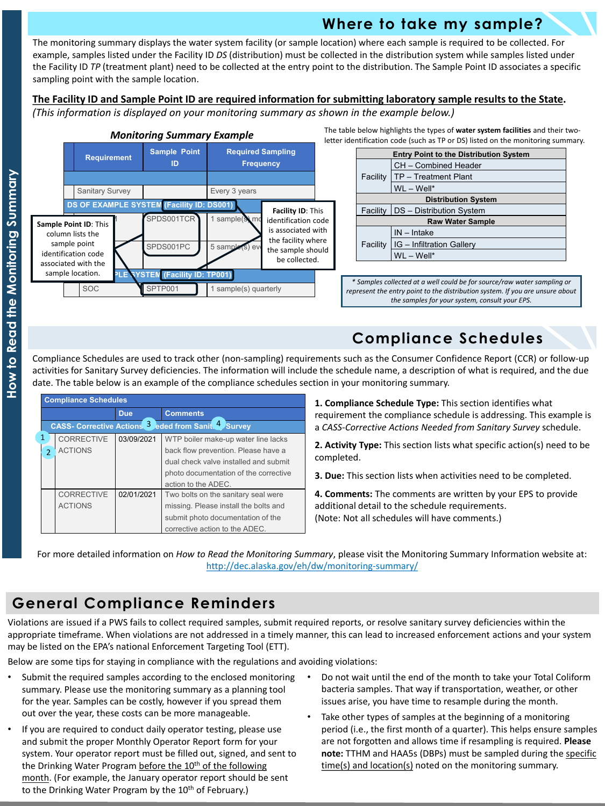Violations are issued if a PWS fails to collect required samples, submit required reports, or resolve sanitary survey deficiencies within the appropriate timeframe. When violations are not addressed in a timely manner, this can lead to increased enforcement actions and your system may be listed on the EPA's national Enforcement Targeting Tool (ETT).

Below are some tips for staying in compliance with the regulations and avoiding violations:

**1. Compliance Schedule Type:** This section identifies what requirement the compliance schedule is addressing. This example is a *CASS-Corrective Actions Needed from Sanitary Survey* schedule.

**2. Activity Type:** This section lists what specific action(s) need to be completed.

- Submit the required samples according to the enclosed monitoring summary. Please use the monitoring summary as a planning tool for the year. Samples can be costly, however if you spread them out over the year, these costs can be more manageable.
- If you are required to conduct daily operator testing, please use and submit the proper Monthly Operator Report form for your system. Your operator report must be filled out, signed, and sent to the Drinking Water Program before the 10<sup>th</sup> of the following month. (For example, the January operator report should be sent to the Drinking Water Program by the 10<sup>th</sup> of February.)
- Do not wait until the end of the month to take your Total Coliform bacteria samples. That way if transportation, weather, or other issues arise, you have time to resample during the month.
- Take other types of samples at the beginning of a monitoring period (i.e., the first month of a quarter). This helps ensure samples are not forgotten and allows time if resampling is required. **Please note:** TTHM and HAA5s (DBPs) must be sampled during the specific time(s) and location(s) noted on the monitoring summary.

**3. Due:** This section lists when activities need to be completed.

**4. Comments:** The comments are written by your EPS to provide additional detail to the schedule requirements. (Note: Not all schedules will have comments.)

## **General Compliance Reminders**

|                                 | <b>Compliance Schedules</b>                         |                                     |            |                                       |  |  |  |
|---------------------------------|-----------------------------------------------------|-------------------------------------|------------|---------------------------------------|--|--|--|
|                                 | <b>Due</b>                                          |                                     |            | <b>Comments</b>                       |  |  |  |
|                                 | CASS- Corrective Actions 3 eded from Sanit 4 Survey |                                     |            |                                       |  |  |  |
|                                 |                                                     | <b>CORRECTIVE</b>                   | 03/09/2021 | WTP boiler make-up water line lacks   |  |  |  |
|                                 | $\mathcal{D}$                                       | <b>ACTIONS</b>                      |            | back flow prevention. Please have a   |  |  |  |
|                                 |                                                     |                                     |            | dual check valve installed and submit |  |  |  |
|                                 |                                                     |                                     |            | photo documentation of the corrective |  |  |  |
|                                 |                                                     |                                     |            | action to the ADEC.                   |  |  |  |
| <b>CORRECTIVE</b><br>02/01/2021 |                                                     | Two bolts on the sanitary seal were |            |                                       |  |  |  |
|                                 |                                                     | <b>ACTIONS</b>                      |            | missing. Please install the bolts and |  |  |  |
|                                 |                                                     |                                     |            | submit photo documentation of the     |  |  |  |
|                                 |                                                     |                                     |            | corrective action to the ADEC.        |  |  |  |

For more detailed information on *How to Read the Monitoring Summary*, please visit the Monitoring Summary Information website at: <http://dec.alaska.gov/eh/dw/monitoring-summary/>

#### **The Facility ID and Sample Point ID are required information for submitting laboratory sample results to the State.**

*(This information is displayed on your monitoring summary as shown in the example below.)*



# **Compliance Schedules**

The monitoring summary displays the water system facility (or sample location) where each sample is required to be collected. For example, samples listed under the Facility ID *DS* (distribution) must be collected in the distribution system while samples listed under the Facility ID *TP* (treatment plant) need to be collected at the entry point to the distribution. The Sample Point ID associates a specific sampling point with the sample location.

Compliance Schedules are used to track other (non-sampling) requirements such as the Consumer Confidence Report (CCR) or follow-up activities for Sanitary Survey deficiencies. The information will include the schedule name, a description of what is required, and the due date. The table below is an example of the compliance schedules section in your monitoring summary.

## **Where to take my sample?**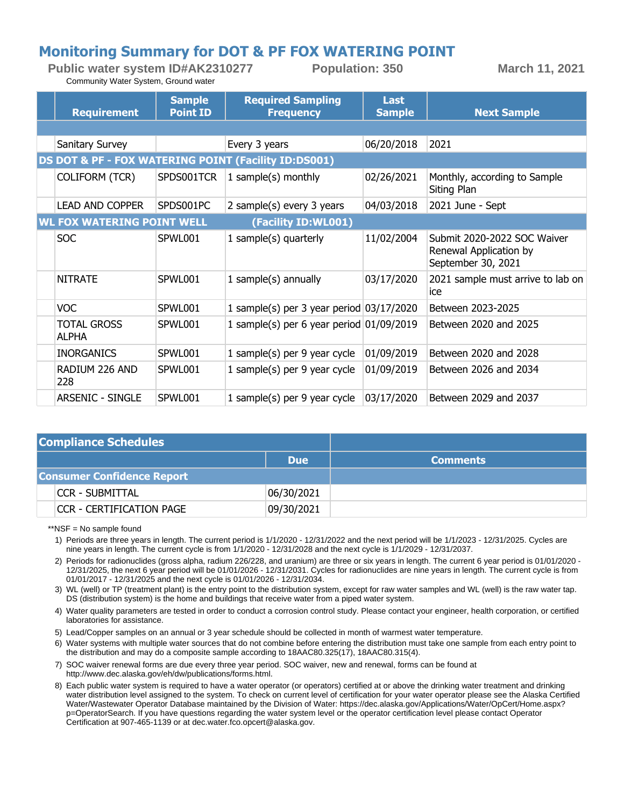#### **Monitoring Summary for DOT & PF FOX WATERING POINT**

**Public water system ID#AK2310277 Population: 350 March 11, 2021** Community Water System, Ground water

|                                                      | <b>Requirement</b>                | <b>Sample</b><br><b>Point ID</b> | <b>Required Sampling</b><br><b>Frequency</b> | <b>Last</b><br><b>Sample</b> | <b>Next Sample</b>                                                          |  |  |
|------------------------------------------------------|-----------------------------------|----------------------------------|----------------------------------------------|------------------------------|-----------------------------------------------------------------------------|--|--|
|                                                      |                                   |                                  |                                              |                              |                                                                             |  |  |
|                                                      | Sanitary Survey                   |                                  | Every 3 years                                | 06/20/2018                   | 2021                                                                        |  |  |
| DS DOT & PF - FOX WATERING POINT (Facility ID:DS001) |                                   |                                  |                                              |                              |                                                                             |  |  |
|                                                      | <b>COLIFORM (TCR)</b>             | SPDS001TCR                       | 1 sample $(s)$ monthly                       | 02/26/2021                   | Monthly, according to Sample<br>Siting Plan                                 |  |  |
|                                                      | <b>LEAD AND COPPER</b>            | SPDS001PC                        | 2 sample(s) every 3 years                    | 04/03/2018                   | 2021 June - Sept                                                            |  |  |
|                                                      | <b>WL FOX WATERING POINT WELL</b> |                                  | (Facility ID:WL001)                          |                              |                                                                             |  |  |
|                                                      | <b>SOC</b>                        | SPWL001                          | 1 sample(s) quarterly                        | 11/02/2004                   | Submit 2020-2022 SOC Waiver<br>Renewal Application by<br>September 30, 2021 |  |  |
|                                                      | <b>NITRATE</b>                    | SPWL001                          | 1 sample(s) annually                         | 03/17/2020                   | 2021 sample must arrive to lab on<br>ice                                    |  |  |
|                                                      | <b>VOC</b>                        | SPWL001                          | 1 sample(s) per 3 year period $03/17/2020$   |                              | Between 2023-2025                                                           |  |  |
|                                                      | <b>TOTAL GROSS</b><br>ALPHA       | SPWL001                          | 1 sample(s) per 6 year period $01/09/2019$   |                              | Between 2020 and 2025                                                       |  |  |
|                                                      | <b>INORGANICS</b>                 | SPWL001                          | 1 sample(s) per 9 year cycle                 | 01/09/2019                   | Between 2020 and 2028                                                       |  |  |
|                                                      | RADIUM 226 AND<br>228             | SPWL001                          | 1 sample(s) per 9 year cycle                 | 01/09/2019                   | Between 2026 and 2034                                                       |  |  |
|                                                      | <b>ARSENIC - SINGLE</b>           | SPWL001                          | 1 sample(s) per 9 year cycle                 | 03/17/2020                   | Between 2029 and 2037                                                       |  |  |

| <b>Compliance Schedules</b>       |            |                 |
|-----------------------------------|------------|-----------------|
|                                   | <b>Due</b> | <b>Comments</b> |
| <b>Consumer Confidence Report</b> |            |                 |
| CCR - SUBMITTAL                   | 06/30/2021 |                 |
| <b>CCR - CERTIFICATION PAGE</b>   | 09/30/2021 |                 |

\*\*NSF = No sample found

Periods are three years in length. The current period is 1/1/2020 - 12/31/2022 and the next period will be 1/1/2023 - 12/31/2025. Cycles are 1) nine years in length. The current cycle is from 1/1/2020 - 12/31/2028 and the next cycle is 1/1/2029 - 12/31/2037.

2) Periods for radionuclides (gross alpha, radium 226/228, and uranium) are three or six years in length. The current 6 year period is 01/01/2020 - 12/31/2025, the next 6 year period will be 01/01/2026 - 12/31/2031. Cycles for radionuclides are nine years in length. The current cycle is from 01/01/2017 - 12/31/2025 and the next cycle is 01/01/2026 - 12/31/2034.

WL (well) or TP (treatment plant) is the entry point to the distribution system, except for raw water samples and WL (well) is the raw water tap. 3) DS (distribution system) is the home and buildings that receive water from a piped water system.

Water quality parameters are tested in order to conduct a corrosion control study. Please contact your engineer, health corporation, or certified 4) laboratories for assistance.

5) Lead/Copper samples on an annual or 3 year schedule should be collected in month of warmest water temperature.

6) Water systems with multiple water sources that do not combine before entering the distribution must take one sample from each entry point to the distribution and may do a composite sample according to 18AAC80.325(17), 18AAC80.315(4).

- 7) SOC waiver renewal forms are due every three year period. SOC waiver, new and renewal, forms can be found at http://www.dec.alaska.gov/eh/dw/publications/forms.html.
- 8) Each public water system is required to have a water operator (or operators) certified at or above the drinking water treatment and drinking water distribution level assigned to the system. To check on current level of certification for your water operator please see the Alaska Certified Water/Wastewater Operator Database maintained by the Division of Water: https://dec.alaska.gov/Applications/Water/OpCert/Home.aspx? p=OperatorSearch. If you have questions regarding the water system level or the operator certification level please contact Operator Certification at 907-465-1139 or at dec.water.fco.opcert@alaska.gov.